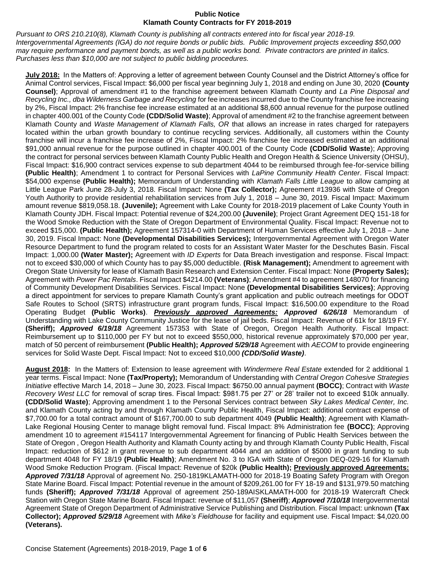*Pursuant to ORS 210.210(8), Klamath County is publishing all contracts entered into for fiscal year 2018-19. Intergovernmental Agreements (IGA) do not require bonds or public bids. Public Improvement projects exceeding \$50,000 may require performance and payment bonds, as well as a public works bond. Private contractors are printed in italics. Purchases less than \$10,000 are not subject to public bidding procedures.* 

**July 2018:** In the Matters of: Approving a letter of agreement between County Counsel and the District Attorney's office for Animal Control services, Fiscal Impact: \$6,000 per fiscal year beginning July 1, 2018 and ending on June 30, 2020 **(County Counsel)**; Approval of amendment #1 to the franchise agreement between Klamath County and *La Pine Disposal and Recycling Inc., dba Wilderness Garbage and Recycling* for fee increases incurred due to the County franchise fee increasing by 2%, Fiscal Impact: 2% franchise fee increase estimated at an additional \$8,600 annual revenue for the purpose outlined in chapter 400.001 of the County Code **(CDD/Solid Waste)**; Approval of amendment #2 to the franchise agreement between Klamath County and *Waste Management of Klamath Falls, OR* that allows an increase in rates charged for ratepayers located within the urban growth boundary to continue recycling services. Additionally, all customers within the County franchise will incur a franchise fee increase of 2%, Fiscal Impact: 2% franchise fee increased estimated at an additional \$91,000 annual revenue for the purpose outlined in chapter 400.001 of the County Code **(CDD/Solid Waste**); Approving the contract for personal services between Klamath County Public Health and Oregon Health & Science University (OHSU), Fiscal Impact: \$16,900 contract services expense to sub department 4044 to be reimbursed through fee-for-service billing **(Public Health)**; Amendment 1 to contract for Personal Services with *LaPine Community Health Center*. Fiscal Impact: \$54,000 expense **(Public Health);** Memorandum of Understanding with *Klamath Falls Little League* to allow camping at Little League Park June 28-July 3, 2018. Fiscal Impact: None **(Tax Collector);** Agreement #13936 with State of Oregon Youth Authority to provide residential rehabilitation services from July 1, 2018 – June 30, 2019. Fiscal Impact: Maximum amount revenue \$819,058.18. **(Juvenile);** Agreement with Lake County for 2018-2019 placement of Lake County Youth in Klamath County JDH. Fiscal Impact: Potential revenue of \$24,200.00 **(Juvenile)**; Project Grant Agreement DEQ 151-18 for the Wood Smoke Reduction with the State of Oregon Department of Environmental Quality. Fiscal Impact: Revenue not to exceed \$15,000. **(Public Health);** Agreement 157314-0 with Department of Human Services effective July 1, 2018 – June 30, 2019. Fiscal Impact: None **(Developmental Disabilities Services);** Intergovernmental Agreement with Oregon Water Resource Department to fund the program related to costs for an Assistant Water Master for the Deschutes Basin. Fiscal Impact: 1,000.00 **(Water Master);** Agreement with *ID Experts* for Data Breach investigation and response. Fiscal Impact: not to exceed \$30,000 of which County has to pay \$5,000 deductible. **(Risk Management);** Amendment to agreement with Oregon State University for lease of Klamath Basin Research and Extension Center. Fiscal Impact: None **(Property Sales);**  Agreement with *Power Pac Rentals*. Fiscal Impact \$4214.00 **(Veterans)**; Amendment #4 to agreement 148070 for financing of Community Development Disabilities Services. Fiscal Impact: None **(Developmental Disabilities Services)**; Approving a direct appointment for services to prepare Klamath County's grant application and public outreach meetings for ODOT Safe Routes to School (SRTS) infrastructure grant program funds, Fiscal Impact: \$16,500.00 expenditure to the Road Operating Budget **(Public Works)**. *Previously approved Agreements: Approved 6/26/18* Memorandum of Understanding with Lake County Community Justice for the lease of jail beds. Fiscal Impact: Revenue of 61k for 18/19 FY. **(Sheriff);** *Approved 6/19/18* Agreement 157353 with State of Oregon, Oregon Health Authority. Fiscal Impact: Reimbursement up to \$110,000 per FY but not to exceed \$550,000, historical revenue approximately \$70,000 per year, match of 50 percent of reimbursement **(Public Health);** *Approved 5/29/18* Agreement with *AECOM* to provide engineering services for Solid Waste Dept. Fiscal Impact: Not to exceed \$10,000 *(CDD/Solid Waste)*.

**August 2018:** In the Matters of: Extension to lease agreement with *Windermere Real Estate* extended for 2 additional 1 year terms. Fiscal Impact: None **(Tax/Property);** Memorandum of Understanding with *Central Oregon Cohesive Strategies Initiative* effective March 14, 2018 – June 30, 2023. Fiscal Impact: \$6750.00 annual payment **(BOCC)**; Contract with *Waste Recovery West LLC* for removal of scrap tires. Fiscal Impact: \$981.75 per 27' or 28' trailer not to exceed \$10k annually. **(CDD/Solid Waste)**; Approving amendment 1 to the Personal Services contract between *Sky Lakes Medical Center, Inc.* and Klamath County acting by and through Klamath County Public Health, Fiscal Impact: additional contract expense of \$7,700.00 for a total contract amount of \$167,700.00 to sub department 4049 **(Public Health)**; Agreement with Klamath-Lake Regional Housing Center to manage blight removal fund. Fiscal Impact: 8% Administration fee **(BOCC)**; Approving amendment 10 to agreement #154117 Intergovernmental Agreement for financing of Public Health Services between the State of Oregon , Oregon Health Authority and Klamath County acting by and through Klamath County Public Health, Fiscal Impact: reduction of \$612 in grant revenue to sub department 4044 and an addition of \$5000 in grant funding to sub department 4048 for FY 18/19 **(Public Health)**; Amendment No. 3 to IGA with State of Oregon DEQ-029-16 for Klamath Wood Smoke Reduction Program. (Fiscal Impact: Revenue of \$20k **(Public Health); Previously approved Agreements:** *Approved 7/31/18* Approval of agreement No. 250-1819KLAMATH-000 for 2018-19 Boating Safety Program with Oregon State Marine Board. Fiscal Impact: Potential revenue in the amount of \$209,261.00 for FY 18-19 and \$131,979.50 matching funds **(Sheriff);** *Approved 7/31/18* Approval of agreement 250-189AISKLAMATH-000 for 2018-19 Watercraft Check Station with Oregon State Marine Board. Fiscal Impact: revenue of \$11,057 **(Sheriff)**; *Approved 7/10/18* Intergovernmental Agreement State of Oregon Department of Administrative Service Publishing and Distribution. Fiscal Impact: unknown **(Tax Collector);** *Approved 5/29/18* Agreement with *Mike's Fieldhouse* for facility and equipment use. Fiscal Impact: \$4,020.00 **(Veterans).**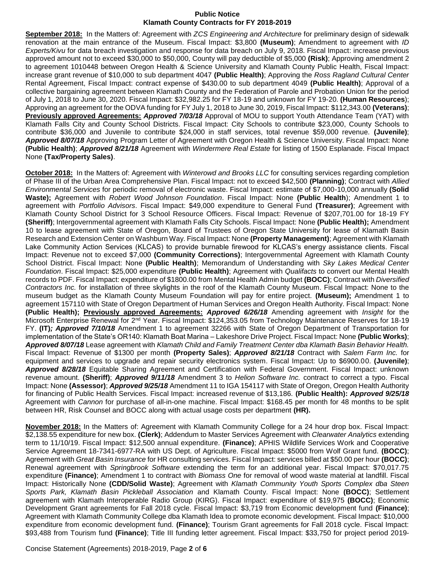**September 2018:** In the Matters of: Agreement with *ZCS Engineering and Architecture* for preliminary design of sidewalk renovation at the main entrance of the Museum. Fiscal Impact: \$3,800 **(Museum)**; Amendment to agreement with *ID Experts/Kivu* for data breach investigation and response for data breach on July 9, 2018. Fiscal Impact: increase previous approved amount not to exceed \$30,000 to \$50,000, County will pay deductible of \$5,000 **(Risk)**; Approving amendment 2 to agreement 1010448 between Oregon Health & Science University and Klamath County Public Health, Fiscal Impact: increase grant revenue of \$10,000 to sub department 4047 **(Public Health)**; Approving the *Ross Ragland Cultural Center* Rental Agreement, Fiscal Impact: contract expense of \$430.00 to sub department 4049 **(Public Health)**; Approval of a collective bargaining agreement between Klamath County and the Federation of Parole and Probation Union for the period of July 1, 2018 to June 30, 2020. Fiscal Impact: \$32,982.25 for FY 18-19 and unknown for FY 19-20. **(Human Resources**); Approving an agreement for the ODVA funding for FY July 1, 2018 to June 30, 2019, Fiscal Impact: \$112,343.00 **(Veterans)**; **Previously approved Agreements:** *Approved 7/03/18* Approval of MOU to support Youth Attendance Team (YAT) with Klamath Falls City and County School Districts. Fiscal Impact: City Schools to contribute \$23,000, County Schools to contribute \$36,000 and Juvenile to contribute \$24,000 in staff services, total revenue \$59,000 revenue. **(Juvenile)**; *Approved 8/07/18* Approving Program Letter of Agreement with Oregon Health & Science University. Fiscal Impact: None **(Public Health)**; *Approved 8/21/18* Agreement with *Windermere Real Estate* for listing of 1500 Esplanade. Fiscal Impact None **(Tax/Property Sales)**.

**October 2018:** In the Matters of: Agreement with *Winterowd and Brooks LLC* for consulting services regarding completion of Phase III of the Urban Area Comprehensive Plan. Fiscal Impact: not to exceed \$42,500 **(Planning)**; Contract with *Allied Environmental Services* for periodic removal of electronic waste. Fiscal Impact: estimate of \$7,000-10,000 annually **(Solid Waste);** Agreement with *Robert Wood Johnson Foundation*. Fiscal Impact: None **(Public Health**); Amendment 1 to agreement with *Portfolio Advisors*. Fiscal Impact: \$49,000 expenditure to General Fund **(Treasurer)**; Agreement with Klamath County School District for 3 School Resource Officers. Fiscal Impact: Revenue of \$207,701.00 for 18-19 FY **(Sheriff)**; Intergovernmental agreement with Klamath Falls City Schools. Fiscal Impact: None **(Public Health);** Amendment 10 to lease agreement with State of Oregon, Board of Trustees of Oregon State University for lease of Klamath Basin Research and Extension Center on Washburn Way. Fiscal Impact: None **(Property Management)**; Agreement with Klamath Lake Community Action Services (KLCAS) to provide burnable firewood for KLCAS's energy assistance clients. Fiscal Impact: Revenue not to exceed \$7,000 **(Community Corrections)**; Intergovernmental Agreement with Klamath County School District. Fiscal Impact: None **(Public Health)**; Memorandum of Understanding with *Sky Lakes Medical Center Foundation*. Fiscal Impact: \$25,000 expenditure **(Public Health)**; Agreement with *Qualifacts* to convert our Mental Health records to PDF. Fiscal Impact: expenditure of \$1800.00 from Mental Health Admin budget **(BOCC)**; Contract with *Diversified Contractors Inc.* for installation of three skylights in the roof of the Klamath County Museum. Fiscal Impact: None to the museum budget as the Klamath County Museum Foundation will pay for entire project. **(Museum);** Amendment 1 to agreement 157110 with State of Oregon Department of Human Services and Oregon Health Authority. Fiscal Impact: None **(Public Health); Previously approved Agreements:** *Approved 6/26/18* Amending agreement with *Insight* for the Microsoft Enterprise Renewal for 2nd Year. Fiscal Impact: \$124,353.05 from Technology Maintenance Reserves for 18-19 FY. **(IT)***; Approved 7/10/18* Amendment 1 to agreement 32266 with State of Oregon Department of Transportation for implementation of the State's OR140: Klamath Boat Marina – Lakeshore Drive Project. Fiscal Impact: None **(Public Works)**; *Approved 8/07/18* Lease agreement with *Klamath Child and Family Treatment Center dba Klamath Basin Behavior Health.* Fiscal Impact: Revenue of \$1300 per month **(Property Sales)**; *Approved 8/21/18* Contract with *Salem Farm Inc.* for equipment and services to upgrade and repair security electronics system. Fiscal Impact: Up to \$6900.00. **(Juvenile)**; *Approved 8/28/18* Equitable Sharing Agreement and Certification with Federal Government. Fiscal Impact: unknown revenue amount. **(Sheriff)**; *Approved 9/11/18* Amendment 3 to *Helion Software Inc.* contract to correct a typo. Fiscal Impact: None **(Assessor)**; *Approved 9/25/18* Amendment 11 to IGA 154117 with State of Oregon, Oregon Health Authority for financing of Public Health Services. Fiscal Impact: increased revenue of \$13,186. **(Public Health):** *Approved 9/25/18*  Agreement with *Cannon* for purchase of all-in-one machine. Fiscal Impact: \$168.45 per month for 48 months to be split between HR, Risk Counsel and BOCC along with actual usage costs per department **(HR).**

**November 2018:** In the Matters of: Agreement with Klamath Community College for a 24 hour drop box. Fiscal Impact: \$2,138.55 expenditure for new box. **(Clerk)**; Addendum to Master Services Agreement with *Clearwater Analytics* extending term to 11/10/19. Fiscal Impact: \$12,500 annual expenditure. **(Finance)**; APHIS Wildlife Services Work and Cooperative Service Agreement 18-7341-6977-RA with US Dept. of Agriculture. Fiscal Impact: \$5000 from Wolf Grant fund. **(BOCC)**; Agreement with *Great Basin Insurance* for HR consulting services. Fiscal Impact: services billed at \$50.00 per hour **(BOCC)**; Renewal agreement with *Springbrook Software* extending the term for an additional year. Fiscal Impact: \$70,017.75 expenditure **(Finance)**; Amendment 1 to contract with *Biomass One* for removal of wood waste material at landfill. Fiscal Impact: Historically None **(CDD/Solid Waste)**; Agreement with *Klamath Community Youth Sports Complex dba Steen Sports Park, Klamath Basin Pickleball Association* and Klamath County. Fiscal Impact: None **(BOCC)**; Settlement agreement with Klamath Interoperable Radio Group (KIRG). Fiscal Impact: expenditure of \$19,975 **(BOCC)**; Economic Development Grant agreements for Fall 2018 cycle. Fiscal Impact: \$3,719 from Economic development fund **(Finance)**; Agreement with Klamath Community College dba Klamath Idea to promote economic development. Fiscal Impact: \$10,000 expenditure from economic development fund. **(Finance)**; Tourism Grant agreements for Fall 2018 cycle. Fiscal Impact: \$93,488 from Tourism fund **(Finance)**; Title III funding letter agreement. Fiscal Impact: \$33,750 for project period 2019-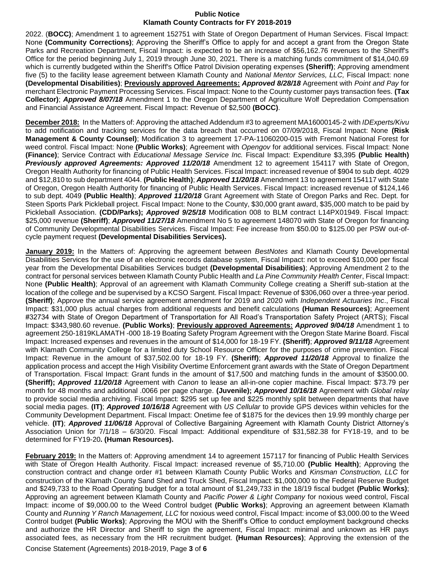2022. (**BOCC)**; Amendment 1 to agreement 152751 with State of Oregon Department of Human Services. Fiscal Impact: None **(Community Corrections)**; Approving the Sheriff's Office to apply for and accept a grant from the Oregon State Parks and Recreation Department, Fiscal Impact: is expected to be an increase of \$56,162.76 revenues to the Sheriff's Office for the period beginning July 1, 2019 through June 30, 2021. There is a matching funds commitment of \$14,040.69 which is currently budgeted within the Sheriff's Office Patrol Division operating expenses **(Sheriff)**; Approving amendment five (5) to the facility lease agreement between Klamath County and *National Mentor Services, LLC,* Fiscal Impact: none **(Developmental Disabilities)**; **Previously approved Agreements:** *Approved 8/28/18* Agreement with *Point and Pay* for merchant Electronic Payment Processing Services. Fiscal Impact: None to the County customer pays transaction fees. **(Tax Collector)**; *Approved 8/07/18* Amendment 1 to the Oregon Department of Agriculture Wolf Depredation Compensation and Financial Assistance Agreement. Fiscal Impact: Revenue of \$2,500 **(BOCC)**.

**December 2018:** In the Matters of: Approving the attached Addendum #3 to agreement MA16000145-2 with *IDExperts/Kivu* to add notification and tracking services for the data breach that occurred on 07/09/2018, Fiscal Impact: None **(Risk Management & County Counsel)**; Modification 3 to agreement 17-PA-11060200-015 with Fremont National Forest for weed control. Fiscal Impact: None **(Public Works)**; Agreement with *Opengov* for additional services. Fiscal Impact: None **(Finance)**; Service Contract with *Educational Message Service Inc.* Fiscal Impact: Expenditure \$3,395 **(Public Health)** *Previously approved Agreements: Approved 11/20/18* Amendment 12 to agreement 154117 with State of Oregon, Oregon Health Authority for financing of Public Health Services. Fiscal Impact: increased revenue of \$904 to sub dept. 4029 and \$12,810 to sub department 4044. **(Public Health)**; *Approved 11/20/18* Amendment 13 to agreement 154117 with State of Oregon, Oregon Health Authority for financing of Public Health Services. Fiscal Impact: increased revenue of \$124,146 to sub dept. 4049 **(Public Health)**; *Approved 11/20/18* Grant Agreement with State of Oregon Parks and Rec. Dept. for Steen Sports Park Pickleball project. Fiscal Impact: None to the County, \$30,000 grant award, \$35,000 match to be paid by Pickleball Association. **(CDD/Parks);** *Approved 9/25/18* Modification 008 to BLM contract L14PX01949. Fiscal Impact: \$25,000 revenue **(Sheriff)**; *Approved 11/27/18* Amendment No 5 to agreement 148070 with State of Oregon for financing of Community Developmental Disabilities Services. Fiscal Impact: Fee increase from \$50.00 to \$125.00 per PSW out-ofcycle payment request **(Developmental Disabilities Services).**

**January 2019:** In the Matters of: Approving the agreement between *BestNotes* and Klamath County Developmental Disabilities Services for the use of an electronic records database system, Fiscal Impact: not to exceed \$10,000 per fiscal year from the Developmental Disabilities Services budget **(Developmental Disabilities)**; Approving Amendment 2 to the contract for personal services between Klamath County Public Health and *La Pine Community Health Center*, Fiscal Impact: None **(Public Health)**; Approval of an agreement with Klamath Community College creating a Sheriff sub-station at the location of the college and be supervised by a KCSO Sargent. Fiscal Impact: Revenue of \$306,060 over a three-year period. **(Sheriff)**; Approve the annual service agreement amendment for 2019 and 2020 with *Independent Actuaries Inc*., Fiscal Impact: \$31,000 plus actual charges from additional requests and benefit calculations **(Human Resources)**; Agreement #32734 with State of Oregon Department of Transportation for All Road's Transportation Safety Project (ARTS); Fiscal Impact: \$343,980.60 revenue. **(Public Works)**; **Previously approved Agreements:** *Approved 9/04/18* Amendment 1 to agreement 250-1819KLAMATH -000 18-19 Boating Safety Program Agreement with the Oregon State Marine Board. Fiscal Impact: Increased expenses and revenues in the amount of \$14,000 for 18-19 FY. **(Sheriff)**; *Approved 9/11/18* Agreement with Klamath Community College for a limited duty School Resource Officer for the purposes of crime prevention. Fiscal Impact: Revenue in the amount of \$37,502.00 for 18-19 FY. **(Sheriff)**; *Approved 11/20/18* Approval to finalize the application process and accept the High Visibility Overtime Enforcement grant awards with the State of Oregon Department of Transportation. Fiscal Impact: Grant funds in the amount of \$17,500 and matching funds in the amount of \$3500.00. **(Sheriff);** *Approved 11/20/18* Agreement with *Canon* to lease an all-in-one copier machine. Fiscal Impact: \$73.79 per month for 48 months and additional .0066 per page charge. **(Juvenile);** *Approved 10/16/18* Agreement with *Global relay* to provide social media archiving. Fiscal Impact: \$295 set up fee and \$225 monthly split between departments that have social media pages. **(IT)**; *Approved 10/16/18* Agreement with *US Cellular* to provide GPS devices within vehicles for the Community Development Department. Fiscal Impact: Onetime fee of \$1875 for the devices then 19.99 monthly charge per vehicle. **(IT)**; *Approved 11/06/18* Approval of Collective Bargaining Agreement with Klamath County District Attorney's Association Union for 7/1/18 – 6/30/20. Fiscal Impact: Additional expenditure of \$31,582.38 for FY18-19, and to be determined for FY19-20**. (Human Resources).**

**February 2019:** In the Matters of: Approving amendment 14 to agreement 157117 for financing of Public Health Services with State of Oregon Health Authority. Fiscal Impact: increased revenue of \$5,710.00 **(Public Health)**; Approving the construction contract and change order #1 between Klamath County Public Works and *Kinsman Construction, LLC* for construction of the Klamath County Sand Shed and Truck Shed, Fiscal Impact: \$1,000,000 to the Federal Reserve Budget and \$249,733 to the Road Operating budget for a total amount of \$1,249,733 in the 18/19 fiscal budget **(Public Works)**; Approving an agreement between Klamath County and *Pacific Power & Light Company* for noxious weed control, Fiscal Impact: income of \$9,000.00 to the Weed Control budget **(Public Works)**; Approving an agreement between Klamath County and *Running Y Ranch Management, LLC* for noxious weed control, Fiscal Impact: income of \$3,000.00 to the Weed Control budget **(Public Works)**; Approving the MOU with the Sheriff's Office to conduct employment background checks and authorize the HR Director and Sheriff to sign the agreement, Fiscal Impact: minimal and unknown as HR pays associated fees, as necessary from the HR recruitment budget. **(Human Resources)**; Approving the extension of the

Concise Statement (Agreements) 2018-2019, Page **3** of **6**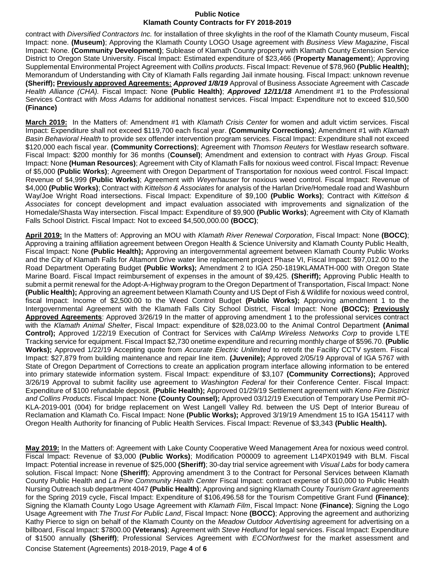contract with *Diversified Contractors Inc.* for installation of three skylights in the roof of the Klamath County museum, Fiscal Impact: none. **(Museum)**; Approving the Klamath County LOGO Usage agreement with *Business View Magazine*, Fiscal Impact: None. **(Community Development)**; Sublease of Klamath County property with Klamath County Extension Service District to Oregon State University. Fiscal Impact: Estimated expenditure of \$23,466 (**Property Management**); Approving Supplemental Environmental Project Agreement with *Collins products*. Fiscal Impact: Revenue of \$78,960 **(Public Health);**  Memorandum of Understanding with City of Klamath Falls regarding Jail inmate housing. Fiscal Impact: unknown revenue **(Sheriff); Previously approved Agreements:** *Approved 1/8/19* Approval of Business Associate Agreement with *Cascade Health Alliance (CHA).* Fiscal Impact: None **(Public Health)**; *Approved 12/11/18* Amendment #1 to the Professional Services Contract with *Moss Adams* for additional nonattest services. Fiscal Impact: Expenditure not to exceed \$10,500 **(Finance)**

**March 2019:** In the Matters of: Amendment #1 with *Klamath Crisis Center* for women and adult victim services. Fiscal Impact: Expenditure shall not exceed \$119,700 each fiscal year. **(Community Corrections)**; Amendment #1 with *Klamath Basin Behavioral Health* to provide sex offender intervention program services. Fiscal Impact: Expenditure shall not exceed \$120,000 each fiscal year. **(Community Corrections)**; Agreement with *Thomson Reuters* for Westlaw research software. Fiscal Impact: \$200 monthly for 36 months (**Counsel)**; Amendment and extension to contract with *Hyas Group*. Fiscal Impact: None **(Human Resources)**; Agreement with City of Klamath Falls for noxious weed control. Fiscal Impact: Revenue of \$5,000 **(Public Works)**; Agreement with Oregon Department of Transportation for noxious weed control. Fiscal Impact: Revenue of \$4,999 **(Public Works)**; Agreement with *Weyerhauser* for noxious weed control. Fiscal Impact: Revenue of \$4,000 **(Public Works)**; Contract with *Kittelson & Associates* for analysis of the Harlan Drive/Homedale road and Washburn Way/Joe Wright Road intersections. Fiscal Impact: Expenditure of \$9,100 **(Public Works)**; Contract with *Kittelson & Associates* for concept development and impact evaluation associated with improvements and signalization of the Homedale/Shasta Way intersection. Fiscal Impact: Expenditure of \$9,900 **(Public Works)**; Agreement with City of Klamath Falls School District. Fiscal Impact: Not to exceed \$4,500,000.00 **(BOCC)**;

**April 2019:** In the Matters of: Approving an MOU with *Klamath River Renewal Corporation*, Fiscal Impact: None **(BOCC)**; Approving a training affiliation agreement between Oregon Health & Science University and Klamath County Public Health, Fiscal Impact: None **(Public Health);** Approving an intergovernmental agreement between Klamath County Public Works and the City of Klamath Falls for Altamont Drive water line replacement project Phase VI, Fiscal Impact: \$97,012.00 to the Road Department Operating Budget **(Public Works);** Amendment 2 to IGA 250-1819KLAMATH-000 with Oregon State Marine Board. Fiscal Impact reimbursement of expenses in the amount of \$9,425. **(Sheriff);** Approving Public Health to submit a permit renewal for the Adopt-A-Highway program to the Oregon Department of Transportation, Fiscal Impact: None **(Public Health);** Approving an agreement between Klamath County and US Dept of Fish & Wildlife for noxious weed control, fiscal Impact: Income of \$2,500.00 to the Weed Control Budget **(Public Works);** Approving amendment 1 to the Intergovernmental Agreement with the Klamath Falls City School District, Fiscal Impact: None **(BOCC); Previously Approved Agreements**: Approved 3/26/19 In the matter of approving amendment 1 to the professional services contract with the *Klamath Animal Shelter*, Fiscal Impact: expenditure of \$28,023.00 to the Animal Control Department **(Animal Control);** Approved 1/22/19 Execution of Contract for Services with *CalAmp Wireless Networks Corp* to provide LTE Tracking service for equipment. Fiscal Impact \$2,730 onetime expenditure and recurring monthly charge of \$596.70. **(Public Works);** Approved 1/22/19 Accepting quote from *Accurate Electric Unlimited* to retrofit the Facility CCTV system. Fiscal Impact: \$27,879 from building maintenance and repair line item. **(Juvenile);** Approved 2/05/19 Approval of IGA 5767 with State of Oregon Department of Corrections to create an application program interface allowing information to be entered into primary statewide information system. Fiscal Impact: expenditure of \$3,107 **(Community Corrections);** Approved 3/26/19 Approval to submit facility use agreement to *Washington Federal* for their Conference Center. Fiscal Impact: Expenditure of \$100 refundable deposit. **(Public Health);** Approved 01/29/19 Settlement agreement with *Keno Fire District and Collins Products*. Fiscal Impact: None **(County Counsel);** Approved 03/12/19 Execution of Temporary Use Permit #O-KLA-2019-001 (004) for bridge replacement on West Langell Valley Rd. between the US Dept of Interior Bureau of Reclamation and Klamath Co. Fiscal Impact: None **(Public Works);** Approved 3/19/19 Amendment 15 to IGA 154117 with Oregon Health Authority for financing of Public Health Services. Fiscal Impact: Revenue of \$3,343 **(Public Health).**

**May 2019:** In the Matters of: Agreement with Lake County Cooperative Weed Management Area for noxious weed control. Fiscal Impact: Revenue of \$3,000 **(Public Works)**; Modification P00009 to agreement L14PX01949 with BLM. Fiscal Impact: Potential increase in revenue of \$25,000 **(Sheriff)**; 30-day trial service agreement with *Visual Labs* for body camera solution. Fiscal Impact: None **(Sheriff)**; Approving amendment 3 to the Contract for Personal Services between Klamath County Public Health and *La Pine Community Health Center* Fiscal Impact: contract expense of \$10,000 to Public Health Nursing Outreach sub department 4047 **(Public Health)**; Approving and signing Klamath County *Tourism Grant agreements* for the Spring 2019 cycle, Fiscal Impact: Expenditure of \$106,496.58 for the Tourism Competitive Grant Fund **(Finance)**; Signing the Klamath County Logo Usage Agreement with *Klamath Film*, Fiscal Impact: None **(Finance)**; Signing the Logo Usage Agreement with *The Trust For Public Land*, Fiscal Impact: None **(BOCC)**; Approving the agreement and authorizing Kathy Pierce to sign on behalf of the Klamath County on the *Meadow Outdoor Advertising* agreement for advertising on a billboard, Fiscal Impact: \$7800.00 **(Veterans)**; Agreement with *Steve Hedlund* for legal services. Fiscal Impact: Expenditure of \$1500 annually **(Sheriff)**; Professional Services Agreement with *ECONorthwest* for the market assessment and

Concise Statement (Agreements) 2018-2019, Page **4** of **6**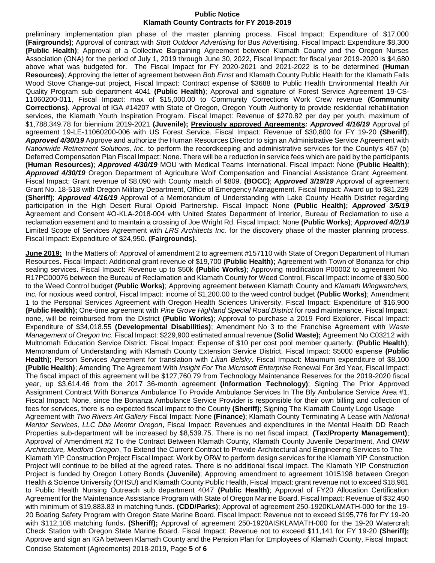preliminary implementation plan phase of the master planning process. Fiscal Impact: Expenditure of \$17,000 **(Fairgrounds)**; Approval of contract with *Stott Outdoor Advertising* for Bus Advertising. Fiscal Impact: Expenditure \$8,300 **(Public Health)**; Approval of a Collective Bargaining Agreement between Klamath County and the Oregon Nurses Association (ONA) for the period of July 1, 2019 through June 30, 2022, Fiscal Impact: for fiscal year 2019-2020 is \$4,680 above what was budgeted for. The Fiscal Impact for FY 2020-2021 and 2021-2022 is to be determined **(Human Resources)**; Approving the letter of agreement between *Bob Ernst* and Klamath County Public Health for the Klamath Falls Wood Stove Change-out project, Fiscal Impact: Contract expense of \$3688 to Public Health Environmental Health Air Quality Program sub department 4041 **(Public Health)**; Approval and signature of Forest Service Agreement 19-CS-11060200-011, Fiscal Impact: max of \$15,000.00 to Community Corrections Work Crew revenue **(Community Corrections)**. Approval of IGA #14207 with State of Oregon, Oregon Youth Authority to provide residential rehabilitation services, the Klamath Youth Inspiration Program. Fiscal Imapct: Revenue of \$270.82 per day per youth, maximum of \$1,788,349.78 for biennium 2019-2021 **(Juvenile); Previously approved Agreements***: Approved 4/16/19* Approval pf agreement 19-LE-11060200-006 with US Forest Service. Fiscal Impact: Revenue of \$30,800 for FY 19-20 **(Sheriff)**; *Approved 4/30/19* Approve and authorize the Human Resources Director to sign an Administrative Service Agreement with *Nationwide Retirement Solutions, Inc.* to perform the recordkeeping and administrative services for the County's 457 (b) Deferred Compensation Plan Fiscal Impact: None. There will be a reduction in service fees which are paid by the participants **(Human Resources)**; *Approved 4/30/19* MOU with Medical Teams International. Fiscal Impact: None **(Public Health)**; *Approved 4/30/19* Oregon Department of Agriculture Wolf Compensation and Financial Assistance Grant Agreement. Fiscal Impact: Grant revenue of \$8,090 with County match of \$809. **(BOCC)**; *Approved 3/19/19* Approval of agreement Grant No. 18-518 with Oregon Military Department, Office of Emergency Management. Fiscal Impact: Award up to \$81,229 **(Sheriff)**; *Approved 4/16/19* Approval of a Memorandum of Understanding with Lake County Health District regarding participation in the High Desert Rural Opioid Partnership. Fiscal Impact: None **(Public Health);** *Approved 3/5/19*  Agreement and Consent #O-KLA-2018-004 with United States Department of Interior, Bureau of Reclamation to use a reclamation easement and to maintain a crossing of Joe Wright Rd. Fiscal Impact: None **(Public Works)**; *Approved 4/2/19*  Limited Scope of Services Agreement with *LRS Architects Inc.* for the discovery phase of the master planning process. Fiscal Impact: Expenditure of \$24,950. **(Fairgrounds).**

Concise Statement (Agreements) 2018-2019, Page **5** of **6 June 2019:** In the Matters of: Approval of amendment 2 to agreement #157110 with State of Oregon Department of Human Resources. Fiscal Impact: Additional grant revenue of \$19,700 **(Public Health);** Agreement with Town of Bonanza for chip sealing services. Fiscal Impact: Revenue up to \$50k **(Public Works)**; Approving modification P00002 to agreement No. R17PC00076 between the Bureau of Reclamation and Klamath County for Weed Control, Fiscal Impact: income of \$30,500 to the Weed Control budget **(Public Works)**; Approving agreement between Klamath County and *Klamath Wingwatchers, Inc.* for noxious weed control, Fiscal Impact: income of \$1,200.00 to the weed control budget **(Public Works)**; Amendment 1 to the Personal Services Agreement with Oregon Health Sciences University. Fiscal Impact: Expenditure of \$16,900 **(Public Health);** One-time agreement with *Pine Grove Highland Special Road District* for road maintenance. Fiscal Impact: none, will be reimbursed from the District **(Public Works)**; Approval to purchase a 2019 Ford Explorer. Fiscal Impact: Expenditure of \$34,018.55 **(Developmental Disabilities)**; Amendment No 3 to the Franchise Agreement with *Waste Management of Oregon Inc.* Fiscal Impact: \$229,900 estimated annual revenue **(Solid Waste);** Agreement No C03212 with Multnomah Education Service District. Fiscal Impact: Expense of \$10 per cost pool member quarterly. **(Public Health)**; Memorandum of Understanding with Klamath County Extension Service District. Fiscal Impact: \$5000 expense **(Public Health)**; Person Services Agreement for translation with *Lilian Belsky*. Fiscal Impact: Maximum expenditure of \$8,100 **(Public Health)**; Amending The Agreement With *Insight For The Microsoft Enterprise* Renewal For 3rd Year, Fiscal Impact: The fiscal impact of this agreement will be \$127,760.79 from Technology Maintenance Reserves for the 2019-2020 fiscal year, up \$3,614.46 from the 2017 36-month agreement **(Information Technology)**; Signing The Prior Approved Assignment Contract With Bonanza Ambulance To Provide Ambulance Services In The Bly Ambulance Service Area #1, Fiscal Impact: None, since the Bonanza Ambulance Service Provider is responsible for their own billing and collection of fees for services, there is no expected fiscal impact to the County **(Sheriff)**; Signing The Klamath County Logo Usage Agreement with *Two Rivers Art Gallery* Fiscal Impact: None **(Finance)**; Klamath County Terminating A Lease with *National Mentor Services, LLC Dba Mentor Oregon*, Fiscal Impact: Revenues and expenditures in the Mental Health DD Reach Properties sub-department will be increased by \$8,539.75. There is no net fiscal impact. **(Tax/Property Management)**; Approval of Amendment #2 To the Contract Between Klamath County, Klamath County Juvenile Department, And *ORW Architecture, Medford Oregon*, To Extend the Current Contract to Provide Architectural and Engineering Services to The Klamath YIP Construction Project Fiscal Impact: Work by ORW to perform design services for the Klamath YIP Construction Project will continue to be billed at the agreed rates. There is no additional fiscal impact. The Klamath YIP Construction Project is funded by Oregon Lottery Bonds **(Juvenile)**; Approving amendment to agreement 1015198 between Oregon Health & Science University (OHSU) and Klamath County Public Health, Fiscal Impact: grant revenue not to exceed \$18,981 to Public Health Nursing Outreach sub department 4047 **(Public Health)**; Approval of FY20 Allocation Certification Agreement for the Maintenance Assistance Program with State of Oregon Marine Board. Fiscal Impact: Revenue of \$32,450 with minimum of \$19,883.83 in matching funds. **(CDD/Parks)**; Approval of agreement 250-1920KLAMATH-000 for the 19- 20 Boating Safety Program with Oregon State Marine Board. Fiscal Impact: Revenue not to exceed \$195,776 for FY 19-20 with \$112,108 matching funds**. (Sheriff);** Approval of agreement 250-1920AISKLAMATH-000 for the 19-20 Watercraft Check Station with Oregon State Marine Board. Fiscal Impact: Revenue not to exceed \$11,141 for FY 19-20 **(Sheriff);**  Approve and sign an IGA between Klamath County and the Pension Plan for Employees of Klamath County, Fiscal Impact: